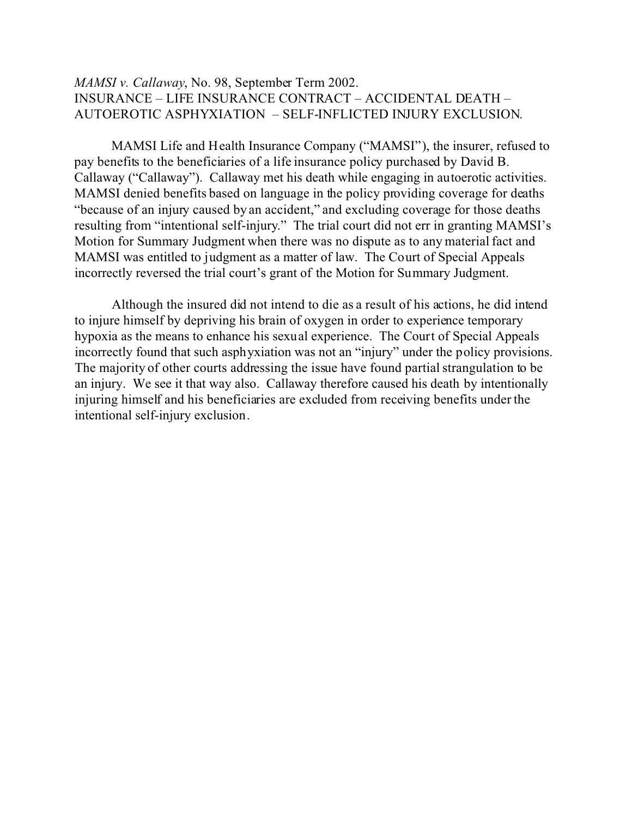# *MAMSI v. Callaway*, No. 98, September Term 2002. INSURANCE – LIFE INSURANCE CONTRACT – ACCIDENTAL DEATH – AUTOEROTIC ASPHYXIATION – SELF-INFLICTED INJURY EXCLUSION.

MAMSI Life and Health Insurance Company ("MAMSI"), the insurer, refused to pay benefits to the beneficiaries of a life insurance policy purchased by David B. Callaway ("Callaway"). Callaway met his death while engaging in autoerotic activities. MAMSI denied benefits based on language in the policy providing coverage for deaths "because of an injury caused by an accident," and excluding coverage for those deaths resulting from "intentional self-injury." The trial court did not err in granting MAMSI's Motion for Summary Judgment when there was no dispute as to any material fact and MAMSI was entitled to judgment as a matter of law. The Court of Special Appeals incorrectly reversed the trial court's grant of the Motion for Summary Judgment.

Although the insured did not intend to die as a result of his actions, he did intend to injure himself by depriving his brain of oxygen in order to experience temporary hypoxia as the means to enhance his sexual experience. The Court of Special Appeals incorrectly found that such asphyxiation was not an "injury" under the policy provisions. The majority of other courts addressing the issue have found partial strangulation to be an injury. We see it that way also. Callaway therefore caused his death by intentionally injuring himself and his beneficiaries are excluded from receiving benefits under the intentional self-injury exclusion.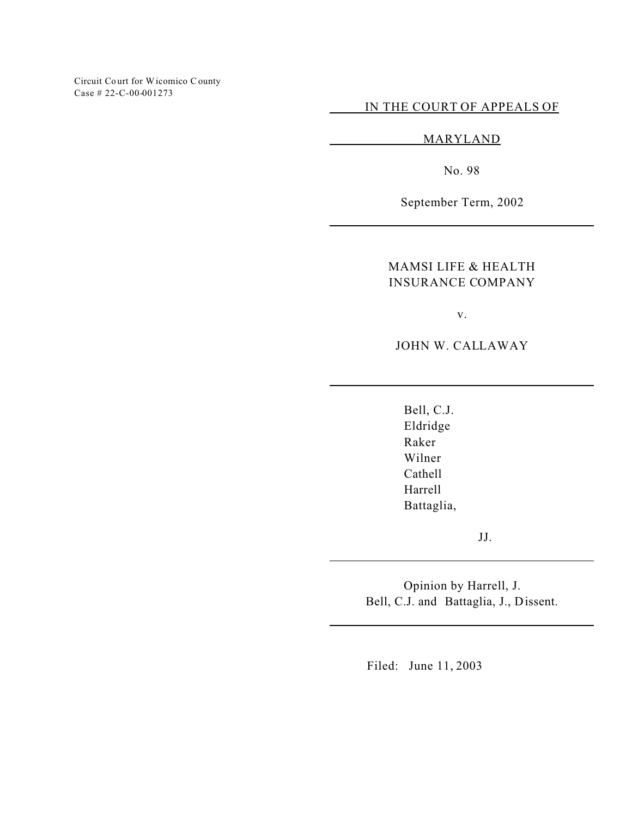Circuit Co urt for Wicomico C ounty Case # 22-C-00-001273

IN THE COURT OF APPEALS OF

#### MARYLAND

No. 98

September Term, 2002

MAMSI LIFE & HEALTH INSURANCE COMPANY

v.

JOHN W. CALLAWAY

Bell, C.J. Eldridge Raker Wilner Cathell Harrell Battaglia,

JJ.

Opinion by Harrell, J. Bell, C.J. and Battaglia, J., Dissent.

Filed: June 11, 2003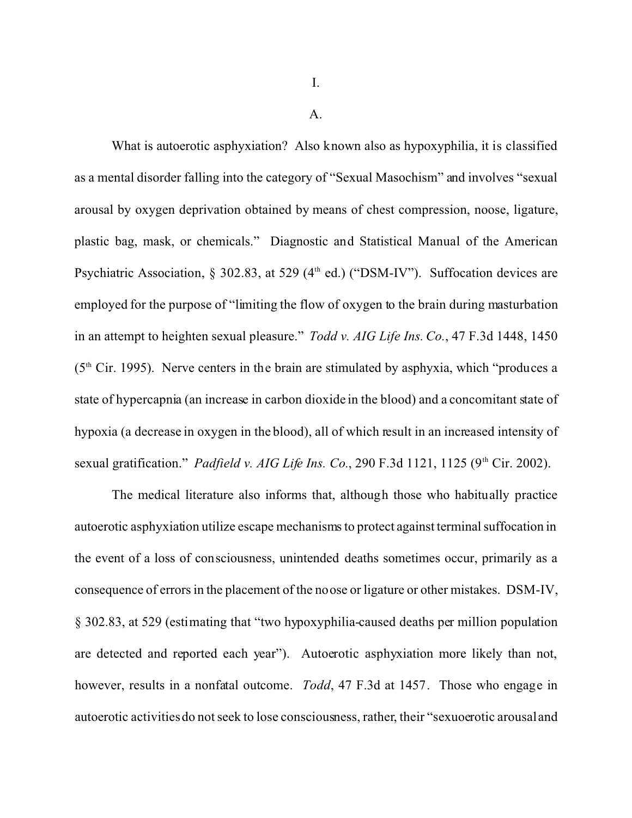A.

What is autoerotic asphyxiation? Also known also as hypoxyphilia, it is classified as a mental disorder falling into the category of "Sexual Masochism" and involves "sexual arousal by oxygen deprivation obtained by means of chest compression, noose, ligature, plastic bag, mask, or chemicals." Diagnostic and Statistical Manual of the American Psychiatric Association,  $\S$  302.83, at 529 (4<sup>th</sup> ed.) ("DSM-IV"). Suffocation devices are employed for the purpose of "limiting the flow of oxygen to the brain during masturbation in an attempt to heighten sexual pleasure." *Todd v. AIG Life Ins. Co.*, 47 F.3d 1448, 1450 ( $5<sup>th</sup> Cir.$  1995). Nerve centers in the brain are stimulated by asphyxia, which "produces a state of hypercapnia (an increase in carbon dioxide in the blood) and a concomitant state of hypoxia (a decrease in oxygen in the blood), all of which result in an increased intensity of sexual gratification." *Padfield v. AIG Life Ins. Co.*, 290 F.3d 1121, 1125 (9<sup>th</sup> Cir. 2002).

The medical literature also informs that, although those who habitually practice autoerotic asphyxiation utilize escape mechanisms to protect against terminal suffocation in the event of a loss of consciousness, unintended deaths sometimes occur, primarily as a consequence of errors in the placement of the noose or ligature or other mistakes. DSM-IV, § 302.83, at 529 (estimating that "two hypoxyphilia-caused deaths per million population are detected and reported each year"). Autoerotic asphyxiation more likely than not, however, results in a nonfatal outcome. *Todd*, 47 F.3d at 1457. Those who engage in autoerotic activities do not seek to lose consciousness, rather, their "sexuoerotic arousal and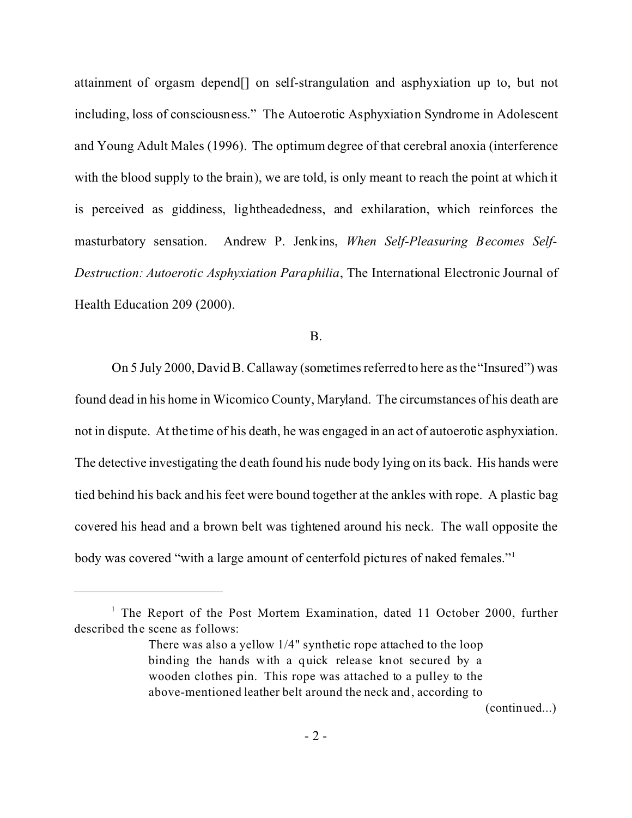attainment of orgasm depend[] on self-strangulation and asphyxiation up to, but not including, loss of consciousness." The Autoerotic Asphyxiation Syndrome in Adolescent and Young Adult Males (1996). The optimum degree of that cerebral anoxia (interference with the blood supply to the brain), we are told, is only meant to reach the point at which it is perceived as giddiness, lightheadedness, and exhilaration, which reinforces the masturbatory sensation. Andrew P. Jenkins, *When Self-Pleasuring Becomes Self-Destruction: Autoerotic Asphyxiation Paraphilia*, The International Electronic Journal of Health Education 209 (2000).

B.

On 5 July 2000, David B. Callaway (sometimes referred to here as the "Insured") was found dead in his home in Wicomico County, Maryland. The circumstances of his death are not in dispute. At the time of his death, he was engaged in an act of autoerotic asphyxiation. The detective investigating the death found his nude body lying on its back. His hands were tied behind his back and his feet were bound together at the ankles with rope. A plastic bag covered his head and a brown belt was tightened around his neck. The wall opposite the body was covered "with a large amount of centerfold pictures of naked females."1

(continued...)

<sup>&</sup>lt;sup>1</sup> The Report of the Post Mortem Examination, dated 11 October 2000, further described the scene as follows:

There was also a yellow 1/4" synthetic rope attached to the loop binding the hands with a quick release knot secured by a wooden clothes pin. This rope was attached to a pulley to the above-mentioned leather belt around the neck and, according to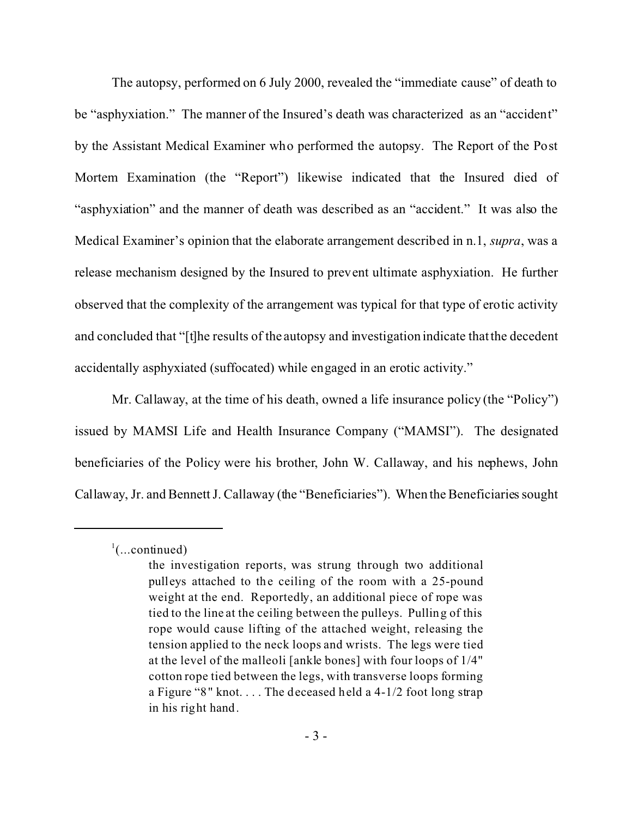The autopsy, performed on 6 July 2000, revealed the "immediate cause" of death to be "asphyxiation." The manner of the Insured's death was characterized as an "accident" by the Assistant Medical Examiner who performed the autopsy. The Report of the Post Mortem Examination (the "Report") likewise indicated that the Insured died of "asphyxiation" and the manner of death was described as an "accident." It was also the Medical Examiner's opinion that the elaborate arrangement described in n.1, *supra*, was a release mechanism designed by the Insured to prevent ultimate asphyxiation. He further observed that the complexity of the arrangement was typical for that type of erotic activity and concluded that "[t]he results of the autopsy and investigation indicate that the decedent accidentally asphyxiated (suffocated) while engaged in an erotic activity."

Mr. Callaway, at the time of his death, owned a life insurance policy (the "Policy") issued by MAMSI Life and Health Insurance Company ("MAMSI"). The designated beneficiaries of the Policy were his brother, John W. Callaway, and his nephews, John Callaway, Jr. and Bennett J. Callaway (the "Beneficiaries"). When the Beneficiaries sought

 $\cdot$ <sup>1</sup>(...continued)

the investigation reports, was strung through two additional pulleys attached to the ceiling of the room with a 25-pound weight at the end. Reportedly, an additional piece of rope was tied to the line at the ceiling between the pulleys. Pulling of this rope would cause lifting of the attached weight, releasing the tension applied to the neck loops and wrists. The legs were tied at the level of the malleoli [ankle bones] with four loops of 1/4" cotton rope tied between the legs, with transverse loops forming a Figure "8" knot. . . . The deceased held a 4-1/2 foot long strap in his right hand.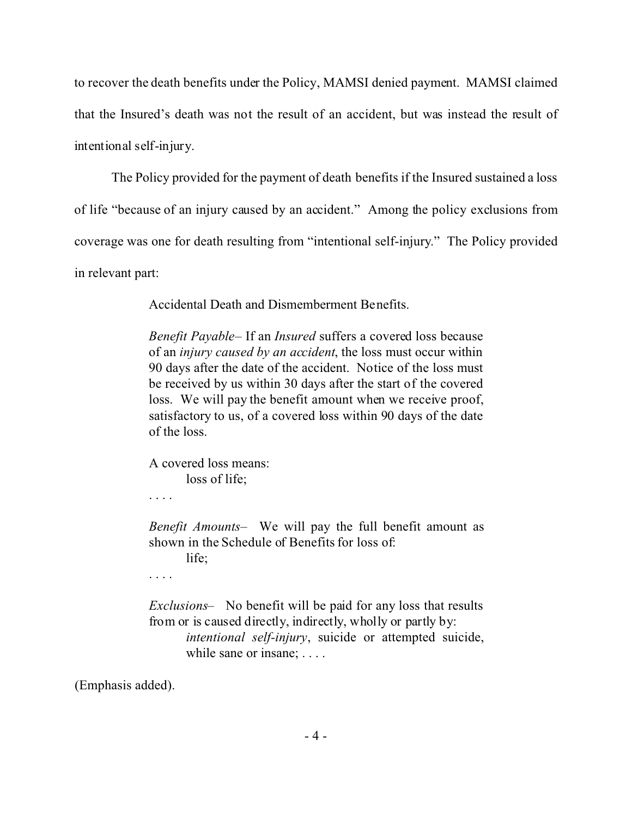to recover the death benefits under the Policy, MAMSI denied payment. MAMSI claimed that the Insured's death was not the result of an accident, but was instead the result of intentional self-injury.

The Policy provided for the payment of death benefits if the Insured sustained a loss of life "because of an injury caused by an accident." Among the policy exclusions from coverage was one for death resulting from "intentional self-injury." The Policy provided in relevant part:

Accidental Death and Dismemberment Benefits.

*Benefit Payable*– If an *Insured* suffers a covered loss because of an *injury caused by an accident*, the loss must occur within 90 days after the date of the accident. Notice of the loss must be received by us within 30 days after the start of the covered loss. We will pay the benefit amount when we receive proof, satisfactory to us, of a covered loss within 90 days of the date of the loss.

A covered loss means: loss of life;

. . . .

*Benefit Amounts*– We will pay the full benefit amount as shown in the Schedule of Benefits for loss of:

life;

. . . .

*Exclusions*– No benefit will be paid for any loss that results from or is caused directly, indirectly, wholly or partly by: *intentional self-injury*, suicide or attempted suicide,

while sane or insane; ....

(Emphasis added).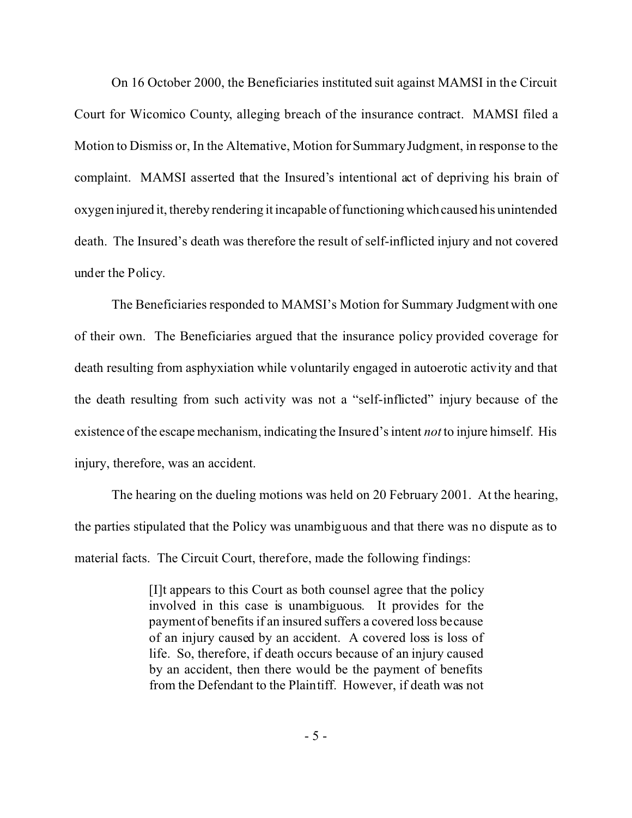On 16 October 2000, the Beneficiaries instituted suit against MAMSI in the Circuit Court for Wicomico County, alleging breach of the insurance contract. MAMSI filed a Motion to Dismiss or, In the Alternative, Motion for Summary Judgment, in response to the complaint. MAMSI asserted that the Insured's intentional act of depriving his brain of oxygen injured it, thereby rendering it incapable of functioning which caused his unintended death. The Insured's death was therefore the result of self-inflicted injury and not covered under the Policy.

The Beneficiaries responded to MAMSI's Motion for Summary Judgment with one of their own. The Beneficiaries argued that the insurance policy provided coverage for death resulting from asphyxiation while voluntarily engaged in autoerotic activity and that the death resulting from such activity was not a "self-inflicted" injury because of the existence of the escape mechanism, indicating the Insured's intent *not* to injure himself. His injury, therefore, was an accident.

The hearing on the dueling motions was held on 20 February 2001. At the hearing, the parties stipulated that the Policy was unambiguous and that there was no dispute as to material facts. The Circuit Court, therefore, made the following findings:

> [I]t appears to this Court as both counsel agree that the policy involved in this case is unambiguous. It provides for the payment of benefits if an insured suffers a covered loss because of an injury caused by an accident. A covered loss is loss of life. So, therefore, if death occurs because of an injury caused by an accident, then there would be the payment of benefits from the Defendant to the Plaintiff. However, if death was not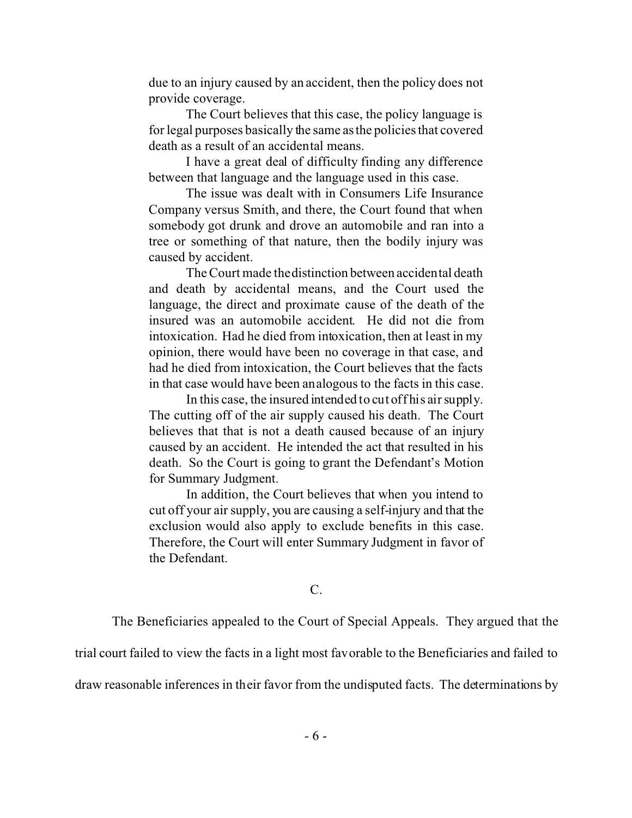due to an injury caused by an accident, then the policy does not provide coverage.

The Court believes that this case, the policy language is for legal purposes basically the same as the policies that covered death as a result of an accidental means.

I have a great deal of difficulty finding any difference between that language and the language used in this case.

The issue was dealt with in Consumers Life Insurance Company versus Smith, and there, the Court found that when somebody got drunk and drove an automobile and ran into a tree or something of that nature, then the bodily injury was caused by accident.

The Court made the distinction between accidental death and death by accidental means, and the Court used the language, the direct and proximate cause of the death of the insured was an automobile accident. He did not die from intoxication. Had he died from intoxication, then at least in my opinion, there would have been no coverage in that case, and had he died from intoxication, the Court believes that the facts in that case would have been analogous to the facts in this case.

In this case, the insured intended to cut off his air supply. The cutting off of the air supply caused his death. The Court believes that that is not a death caused because of an injury caused by an accident. He intended the act that resulted in his death. So the Court is going to grant the Defendant's Motion for Summary Judgment.

In addition, the Court believes that when you intend to cut off your air supply, you are causing a self-injury and that the exclusion would also apply to exclude benefits in this case. Therefore, the Court will enter Summary Judgment in favor of the Defendant.

# C.

The Beneficiaries appealed to the Court of Special Appeals. They argued that the

trial court failed to view the facts in a light most favorable to the Beneficiaries and failed to

draw reasonable inferences in their favor from the undisputed facts. The determinations by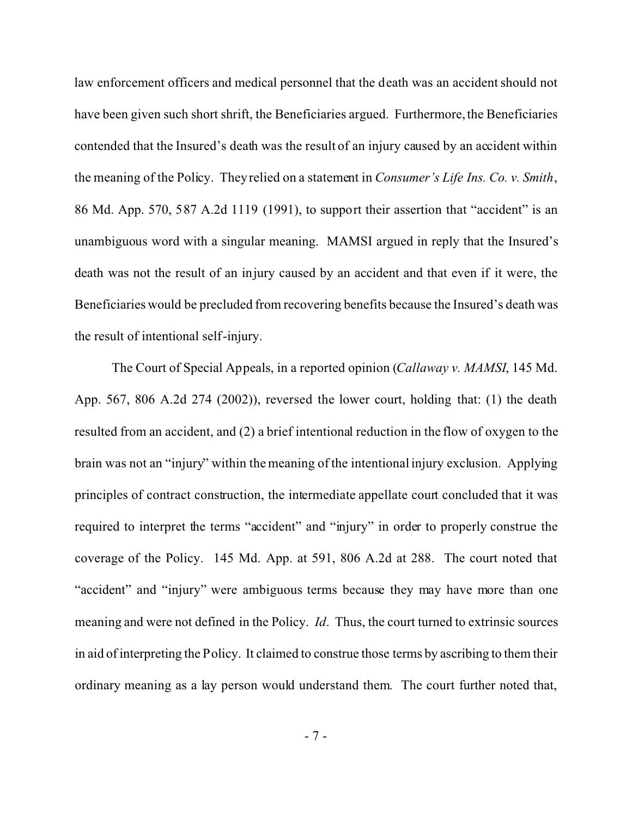law enforcement officers and medical personnel that the death was an accident should not have been given such short shrift, the Beneficiaries argued. Furthermore, the Beneficiaries contended that the Insured's death was the result of an injury caused by an accident within the meaning of the Policy. They relied on a statement in *Consumer's Life Ins. Co. v. Smith*, 86 Md. App. 570, 587 A.2d 1119 (1991), to support their assertion that "accident" is an unambiguous word with a singular meaning. MAMSI argued in reply that the Insured's death was not the result of an injury caused by an accident and that even if it were, the Beneficiaries would be precluded from recovering benefits because the Insured's death was the result of intentional self-injury.

The Court of Special Appeals, in a reported opinion (*Callaway v. MAMSI*, 145 Md. App. 567, 806 A.2d 274 (2002)), reversed the lower court, holding that: (1) the death resulted from an accident, and (2) a brief intentional reduction in the flow of oxygen to the brain was not an "injury" within the meaning of the intentional injury exclusion. Applying principles of contract construction, the intermediate appellate court concluded that it was required to interpret the terms "accident" and "injury" in order to properly construe the coverage of the Policy. 145 Md. App. at 591, 806 A.2d at 288. The court noted that "accident" and "injury" were ambiguous terms because they may have more than one meaning and were not defined in the Policy. *Id*. Thus, the court turned to extrinsic sources in aid of interpreting the Policy. It claimed to construe those terms by ascribing to them their ordinary meaning as a lay person would understand them. The court further noted that,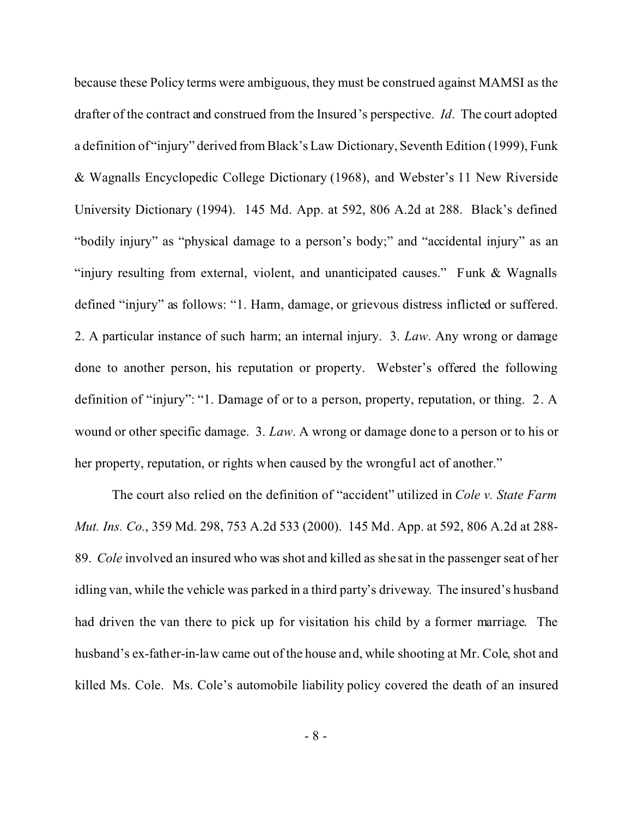because these Policy terms were ambiguous, they must be construed against MAMSI as the drafter of the contract and construed from the Insured's perspective. *Id*. The court adopted a definition of "injury" derived from Black's Law Dictionary, Seventh Edition (1999), Funk & Wagnalls Encyclopedic College Dictionary (1968), and Webster's 11 New Riverside University Dictionary (1994). 145 Md. App. at 592, 806 A.2d at 288. Black's defined "bodily injury" as "physical damage to a person's body;" and "accidental injury" as an "injury resulting from external, violent, and unanticipated causes." Funk & Wagnalls defined "injury" as follows: "1. Harm, damage, or grievous distress inflicted or suffered. 2. A particular instance of such harm; an internal injury. 3. *Law*. Any wrong or damage done to another person, his reputation or property. Webster's offered the following definition of "injury": "1. Damage of or to a person, property, reputation, or thing. 2. A wound or other specific damage. 3. *Law*. A wrong or damage done to a person or to his or her property, reputation, or rights when caused by the wrongful act of another."

The court also relied on the definition of "accident" utilized in *Cole v. State Farm Mut. Ins. Co.*, 359 Md. 298, 753 A.2d 533 (2000). 145 Md. App. at 592, 806 A.2d at 288- 89. *Cole* involved an insured who was shot and killed as she sat in the passenger seat of her idling van, while the vehicle was parked in a third party's driveway. The insured's husband had driven the van there to pick up for visitation his child by a former marriage. The husband's ex-father-in-law came out of the house and, while shooting at Mr. Cole, shot and killed Ms. Cole. Ms. Cole's automobile liability policy covered the death of an insured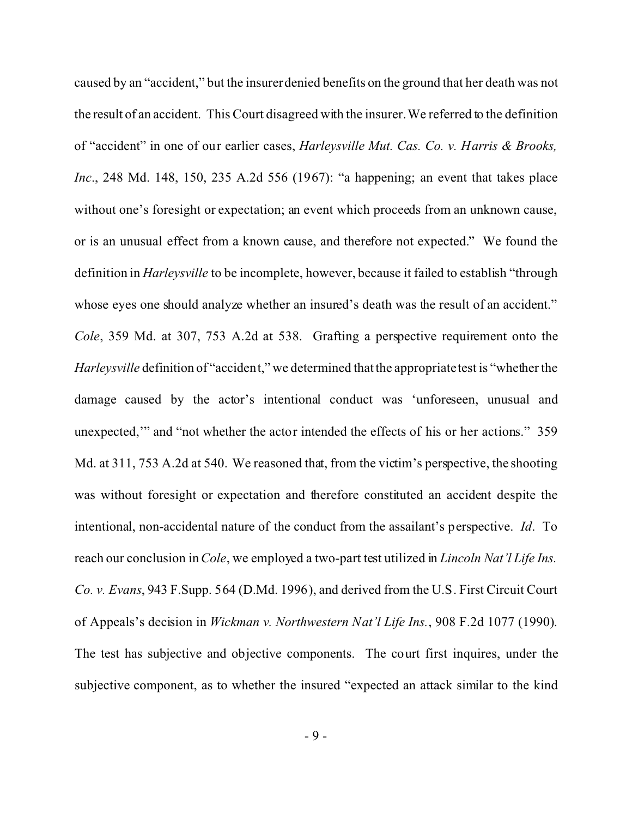caused by an "accident," but the insurer denied benefits on the ground that her death was not the result of an accident. This Court disagreed with the insurer. We referred to the definition of "accident" in one of our earlier cases, *Harleysville Mut. Cas. Co. v. Harris & Brooks, Inc*., 248 Md. 148, 150, 235 A.2d 556 (1967): "a happening; an event that takes place without one's foresight or expectation; an event which proceeds from an unknown cause, or is an unusual effect from a known cause, and therefore not expected." We found the definition in *Harleysville* to be incomplete, however, because it failed to establish "through whose eyes one should analyze whether an insured's death was the result of an accident." *Cole*, 359 Md. at 307, 753 A.2d at 538. Grafting a perspective requirement onto the *Harleysville* definition of "accident," we determined that the appropriate test is "whether the damage caused by the actor's intentional conduct was 'unforeseen, unusual and unexpected,'" and "not whether the actor intended the effects of his or her actions." 359 Md. at 311, 753 A.2d at 540. We reasoned that, from the victim's perspective, the shooting was without foresight or expectation and therefore constituted an accident despite the intentional, non-accidental nature of the conduct from the assailant's perspective. *Id*. To reach our conclusion in *Cole*, we employed a two-part test utilized in *Lincoln Nat'l Life Ins. Co. v. Evans*, 943 F.Supp. 564 (D.Md. 1996), and derived from the U.S. First Circuit Court of Appeals's decision in *Wickman v. Northwestern Nat'l Life Ins.*, 908 F.2d 1077 (1990). The test has subjective and objective components. The court first inquires, under the subjective component, as to whether the insured "expected an attack similar to the kind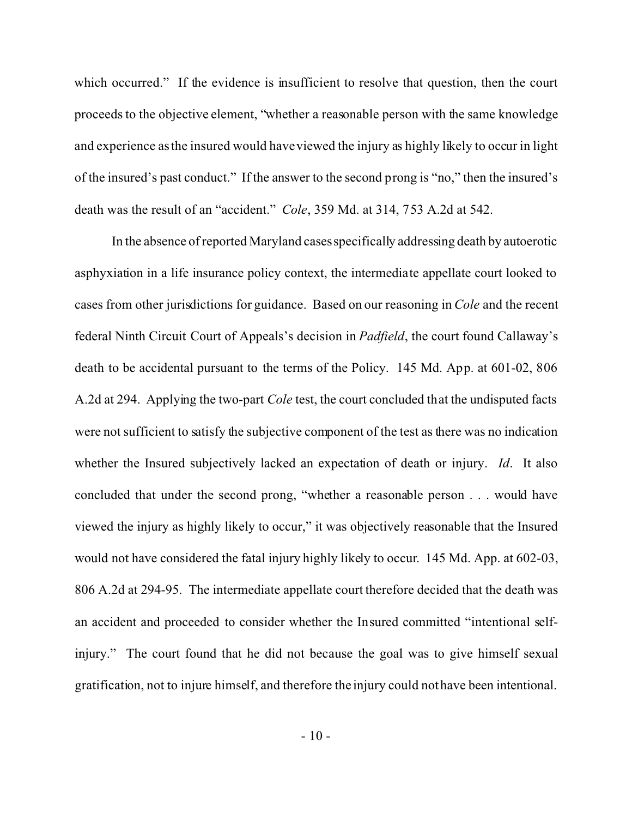which occurred." If the evidence is insufficient to resolve that question, then the court proceeds to the objective element, "whether a reasonable person with the same knowledge and experience as the insured would have viewed the injury as highly likely to occur in light of the insured's past conduct." If the answer to the second prong is "no," then the insured's death was the result of an "accident." *Cole*, 359 Md. at 314, 753 A.2d at 542.

In the absence of reported Maryland cases specifically addressing death by autoerotic asphyxiation in a life insurance policy context, the intermediate appellate court looked to cases from other jurisdictions for guidance. Based on our reasoning in *Cole* and the recent federal Ninth Circuit Court of Appeals's decision in *Padfield*, the court found Callaway's death to be accidental pursuant to the terms of the Policy. 145 Md. App. at 601-02, 806 A.2d at 294. Applying the two-part *Cole* test, the court concluded that the undisputed facts were not sufficient to satisfy the subjective component of the test as there was no indication whether the Insured subjectively lacked an expectation of death or injury. *Id*. It also concluded that under the second prong, "whether a reasonable person . . . would have viewed the injury as highly likely to occur," it was objectively reasonable that the Insured would not have considered the fatal injury highly likely to occur. 145 Md. App. at 602-03, 806 A.2d at 294-95. The intermediate appellate court therefore decided that the death was an accident and proceeded to consider whether the Insured committed "intentional selfinjury." The court found that he did not because the goal was to give himself sexual gratification, not to injure himself, and therefore the injury could not have been intentional.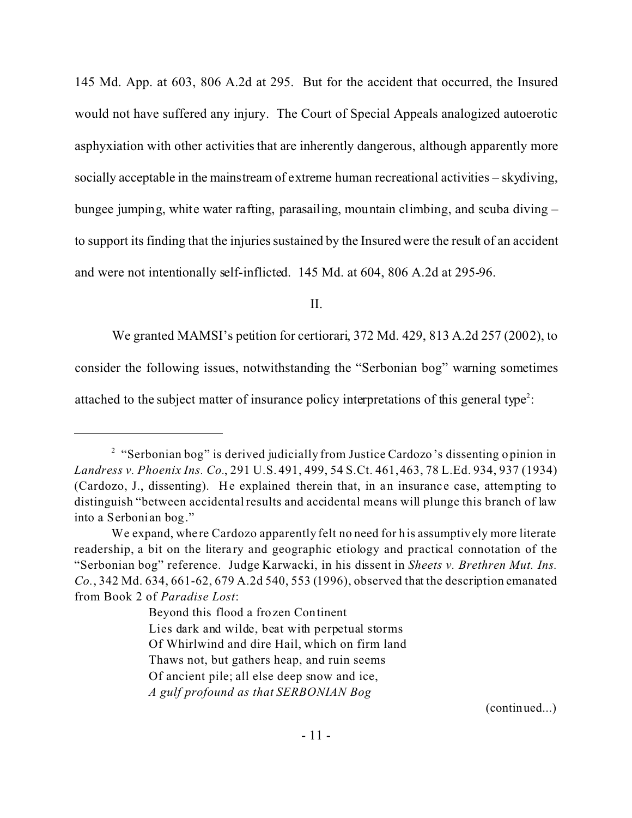145 Md. App. at 603, 806 A.2d at 295. But for the accident that occurred, the Insured would not have suffered any injury. The Court of Special Appeals analogized autoerotic asphyxiation with other activities that are inherently dangerous, although apparently more socially acceptable in the mainstream of extreme human recreational activities – skydiving, bungee jumping, white water rafting, parasailing, mountain climbing, and scuba diving – to support its finding that the injuries sustained by the Insured were the result of an accident and were not intentionally self-inflicted. 145 Md. at 604, 806 A.2d at 295-96.

II.

We granted MAMSI's petition for certiorari, 372 Md. 429, 813 A.2d 257 (2002), to

consider the following issues, notwithstanding the "Serbonian bog" warning sometimes

attached to the subject matter of insurance policy interpretations of this general type<sup>2</sup>:

Beyond this flood a frozen Continent Lies dark and wilde, beat with perpetual storms Of Whirlwind and dire Hail, which on firm land Thaws not, but gathers heap, and ruin seems Of ancient pile; all else deep snow and ice, *A gulf profound as that SERBONIAN Bog*

(continued...)

<sup>&</sup>lt;sup>2</sup> "Serbonian bog" is derived judicially from Justice Cardozo's dissenting opinion in *Landress v. Phoenix Ins. Co.*, 291 U.S. 491, 499, 54 S.Ct. 461, 463, 78 L.Ed. 934, 937 (1934) (Cardozo, J., dissenting). He explained therein that, in an insuranc e case, attempting to distinguish "between accidental results and accidental means will plunge this branch of law into a Serbonian bog."

We expand, where Cardozo apparently felt no need for his assumptively more literate readership, a bit on the literary and geographic etiology and practical connotation of the "Serbonian bog" reference. Judge Karwacki, in his dissent in *Sheets v. Brethren Mut. Ins. Co.*, 342 Md. 634, 661-62, 679 A.2d 540, 553 (1996), observed that the description emanated from Book 2 of *Paradise Lost*: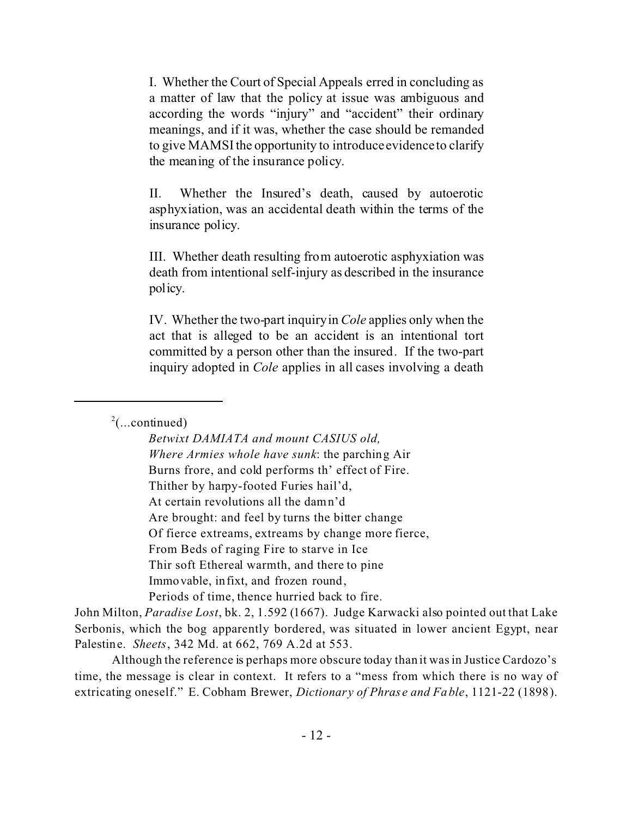I. Whether the Court of Special Appeals erred in concluding as a matter of law that the policy at issue was ambiguous and according the words "injury" and "accident" their ordinary meanings, and if it was, whether the case should be remanded to give MAMSI the opportunity to introduce evidence to clarify the meaning of the insurance policy.

II. Whether the Insured's death, caused by autoerotic asphyxiation, was an accidental death within the terms of the insurance policy.

III. Whether death resulting from autoerotic asphyxiation was death from intentional self-injury as described in the insurance policy.

IV. Whether the two-part inquiry in *Cole* applies only when the act that is alleged to be an accident is an intentional tort committed by a person other than the insured. If the two-part inquiry adopted in *Cole* applies in all cases involving a death

 $2$ (...continued)

*Betwixt DAMIATA and mount CASIUS old, Where Armies whole have sunk*: the parching Air Burns frore, and cold performs th' effect of Fire. Thither by harpy-footed Furies hail'd, At certain revolutions all the damn'd Are brought: and feel by turns the bitter change Of fierce extreams, extreams by change more fierce, From Beds of raging Fire to starve in Ice Thir soft Ethereal warmth, and there to pine Immovable, infixt, and frozen round, Periods of time, thence hurried back to fire.

John Milton, *Paradise Lost*, bk. 2, 1.592 (1667). Judge Karwacki also pointed out that Lake Serbonis, which the bog apparently bordered, was situated in lower ancient Egypt, near Palestine. *Sheets*, 342 Md. at 662, 769 A.2d at 553.

Although the reference is perhaps more obscure today than it was in Justice Cardozo's time, the message is clear in context. It refers to a "mess from which there is no way of extricating oneself." E. Cobham Brewer, *Dictionary of Phrase and Fable*, 1121-22 (1898).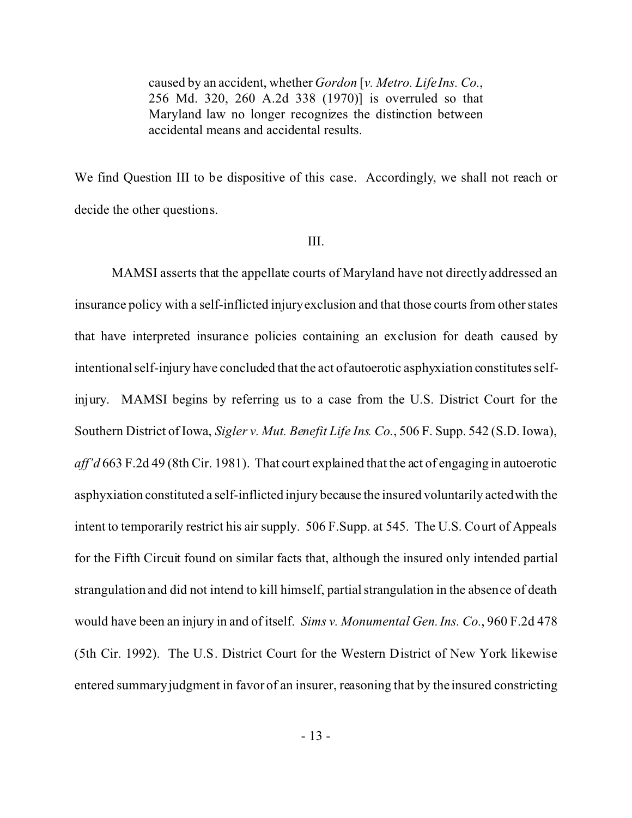caused by an accident, whether *Gordon* [*v. Metro. Life Ins. Co.*, 256 Md. 320, 260 A.2d 338 (1970)] is overruled so that Maryland law no longer recognizes the distinction between accidental means and accidental results.

We find Question III to be dispositive of this case. Accordingly, we shall not reach or decide the other questions.

### III.

MAMSI asserts that the appellate courts of Maryland have not directly addressed an insurance policy with a self-inflicted injury exclusion and that those courts from other states that have interpreted insurance policies containing an exclusion for death caused by intentional self-injury have concluded that the act of autoerotic asphyxiation constitutes selfinjury. MAMSI begins by referring us to a case from the U.S. District Court for the Southern District of Iowa, *Sigler v. Mut. Benefit Life Ins. Co.*, 506 F. Supp. 542 (S.D. Iowa), *aff'd* 663 F.2d 49 (8th Cir. 1981). That court explained that the act of engaging in autoerotic asphyxiation constituted a self-inflicted injury because the insured voluntarily acted with the intent to temporarily restrict his air supply. 506 F.Supp. at 545. The U.S. Court of Appeals for the Fifth Circuit found on similar facts that, although the insured only intended partial strangulation and did not intend to kill himself, partial strangulation in the absence of death would have been an injury in and of itself. *Sims v. Monumental Gen. Ins. Co.*, 960 F.2d 478 (5th Cir. 1992). The U.S. District Court for the Western District of New York likewise entered summary judgment in favor of an insurer, reasoning that by the insured constricting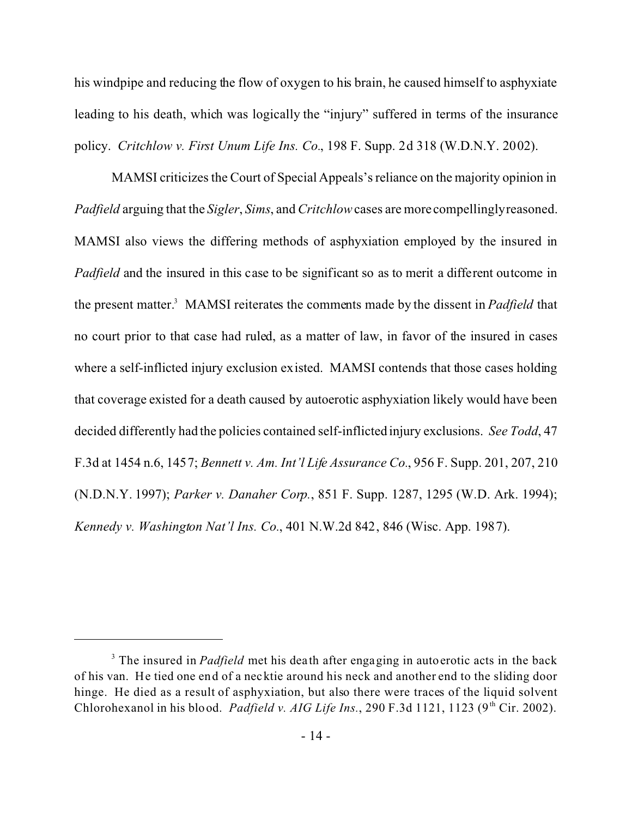his windpipe and reducing the flow of oxygen to his brain, he caused himself to asphyxiate leading to his death, which was logically the "injury" suffered in terms of the insurance policy. *Critchlow v. First Unum Life Ins. Co.*, 198 F. Supp. 2d 318 (W.D.N.Y. 2002).

MAMSI criticizes the Court of Special Appeals's reliance on the majority opinion in *Padfield* arguing that the *Sigler*, *Sims*, and *Critchlow* cases are more compellingly reasoned. MAMSI also views the differing methods of asphyxiation employed by the insured in *Padfield* and the insured in this case to be significant so as to merit a different outcome in the present matter.<sup>3</sup> MAMSI reiterates the comments made by the dissent in *Padfield* that no court prior to that case had ruled, as a matter of law, in favor of the insured in cases where a self-inflicted injury exclusion existed. MAMSI contends that those cases holding that coverage existed for a death caused by autoerotic asphyxiation likely would have been decided differently had the policies contained self-inflicted injury exclusions. *See Todd*, 47 F.3d at 1454 n.6, 1457; *Bennett v. Am. Int'l Life Assurance Co.*, 956 F. Supp. 201, 207, 210 (N.D.N.Y. 1997); *Parker v. Danaher Corp.*, 851 F. Supp. 1287, 1295 (W.D. Ark. 1994); *Kennedy v. Washington Nat'l Ins. Co.*, 401 N.W.2d 842, 846 (Wisc. App. 1987).

<sup>&</sup>lt;sup>3</sup> The insured in *Padfield* met his death after engaging in autoerotic acts in the back of his van. He tied one end of a necktie around his neck and another end to the sliding door hinge. He died as a result of asphyxiation, but also there were traces of the liquid solvent Chlorohexanol in his blood. *Padfield v. AIG Life Ins.*, 290 F.3d 1121, 1123 (9<sup>th</sup> Cir. 2002).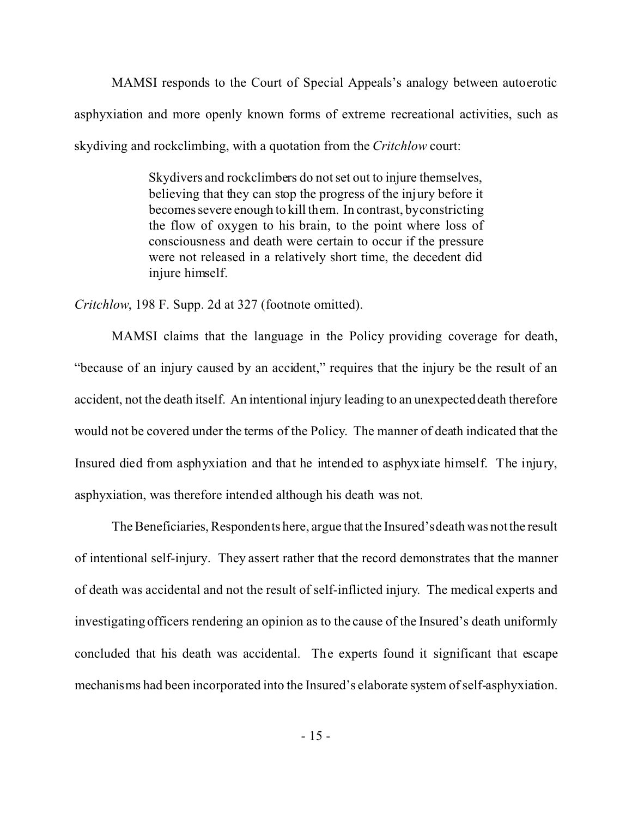MAMSI responds to the Court of Special Appeals's analogy between autoerotic asphyxiation and more openly known forms of extreme recreational activities, such as skydiving and rockclimbing, with a quotation from the *Critchlow* court:

> Skydivers and rockclimbers do not set out to injure themselves, believing that they can stop the progress of the injury before it becomes severe enough to kill them. In contrast, by constricting the flow of oxygen to his brain, to the point where loss of consciousness and death were certain to occur if the pressure were not released in a relatively short time, the decedent did injure himself.

*Critchlow*, 198 F. Supp. 2d at 327 (footnote omitted).

MAMSI claims that the language in the Policy providing coverage for death, "because of an injury caused by an accident," requires that the injury be the result of an accident, not the death itself. An intentional injury leading to an unexpected death therefore would not be covered under the terms of the Policy. The manner of death indicated that the Insured died from asphyxiation and that he intended to asphyxiate himself. The injury, asphyxiation, was therefore intended although his death was not.

The Beneficiaries, Respondents here, argue that the Insured's death was not the result of intentional self-injury. They assert rather that the record demonstrates that the manner of death was accidental and not the result of self-inflicted injury. The medical experts and investigating officers rendering an opinion as to the cause of the Insured's death uniformly concluded that his death was accidental. The experts found it significant that escape mechanisms had been incorporated into the Insured's elaborate system of self-asphyxiation.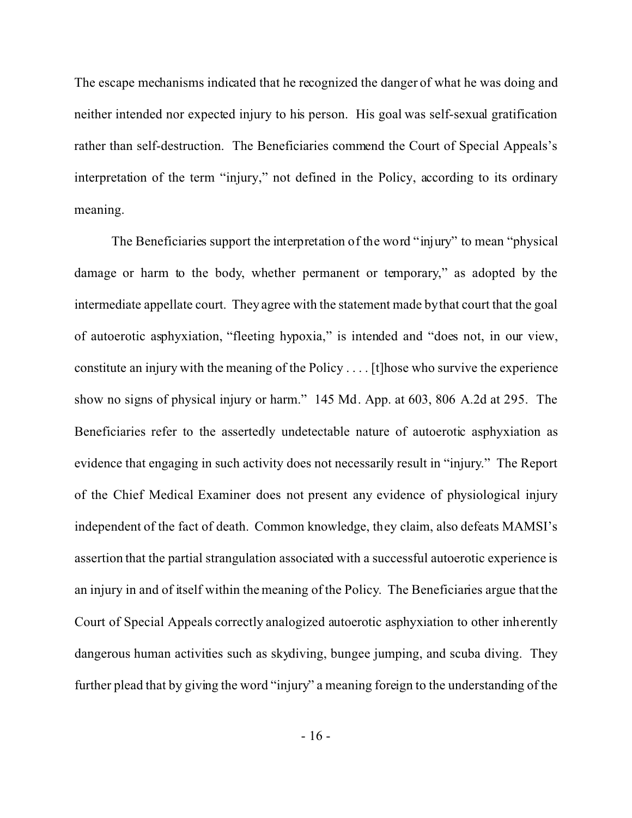The escape mechanisms indicated that he recognized the danger of what he was doing and neither intended nor expected injury to his person. His goal was self-sexual gratification rather than self-destruction. The Beneficiaries commend the Court of Special Appeals's interpretation of the term "injury," not defined in the Policy, according to its ordinary meaning.

The Beneficiaries support the interpretation of the word "injury" to mean "physical damage or harm to the body, whether permanent or temporary," as adopted by the intermediate appellate court. They agree with the statement made by that court that the goal of autoerotic asphyxiation, "fleeting hypoxia," is intended and "does not, in our view, constitute an injury with the meaning of the Policy . . . . [t]hose who survive the experience show no signs of physical injury or harm." 145 Md. App. at 603, 806 A.2d at 295. The Beneficiaries refer to the assertedly undetectable nature of autoerotic asphyxiation as evidence that engaging in such activity does not necessarily result in "injury." The Report of the Chief Medical Examiner does not present any evidence of physiological injury independent of the fact of death. Common knowledge, they claim, also defeats MAMSI's assertion that the partial strangulation associated with a successful autoerotic experience is an injury in and of itself within the meaning of the Policy. The Beneficiaries argue that the Court of Special Appeals correctly analogized autoerotic asphyxiation to other inherently dangerous human activities such as skydiving, bungee jumping, and scuba diving. They further plead that by giving the word "injury" a meaning foreign to the understanding of the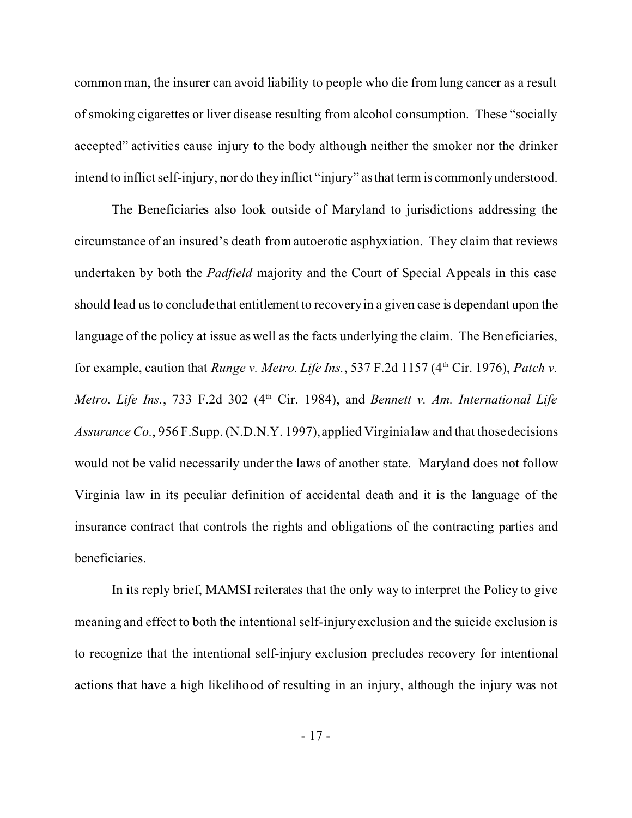common man, the insurer can avoid liability to people who die from lung cancer as a result of smoking cigarettes or liver disease resulting from alcohol consumption. These "socially accepted" activities cause injury to the body although neither the smoker nor the drinker intend to inflict self-injury, nor do they inflict "injury" as that term is commonly understood.

The Beneficiaries also look outside of Maryland to jurisdictions addressing the circumstance of an insured's death from autoerotic asphyxiation. They claim that reviews undertaken by both the *Padfield* majority and the Court of Special Appeals in this case should lead us to conclude that entitlement to recovery in a given case is dependant upon the language of the policy at issue as well as the facts underlying the claim. The Beneficiaries, for example, caution that *Runge v. Metro. Life Ins.*, 537 F.2d 1157 (4<sup>th</sup> Cir. 1976), *Patch v. Metro. Life Ins.*, 733 F.2d 302 (4<sup>th</sup> Cir. 1984), and *Bennett v. Am. International Life Assurance Co.*, 956 F.Supp. (N.D.N.Y. 1997), applied Virginia law and that those decisions would not be valid necessarily under the laws of another state. Maryland does not follow Virginia law in its peculiar definition of accidental death and it is the language of the insurance contract that controls the rights and obligations of the contracting parties and beneficiaries.

In its reply brief, MAMSI reiterates that the only way to interpret the Policy to give meaning and effect to both the intentional self-injury exclusion and the suicide exclusion is to recognize that the intentional self-injury exclusion precludes recovery for intentional actions that have a high likelihood of resulting in an injury, although the injury was not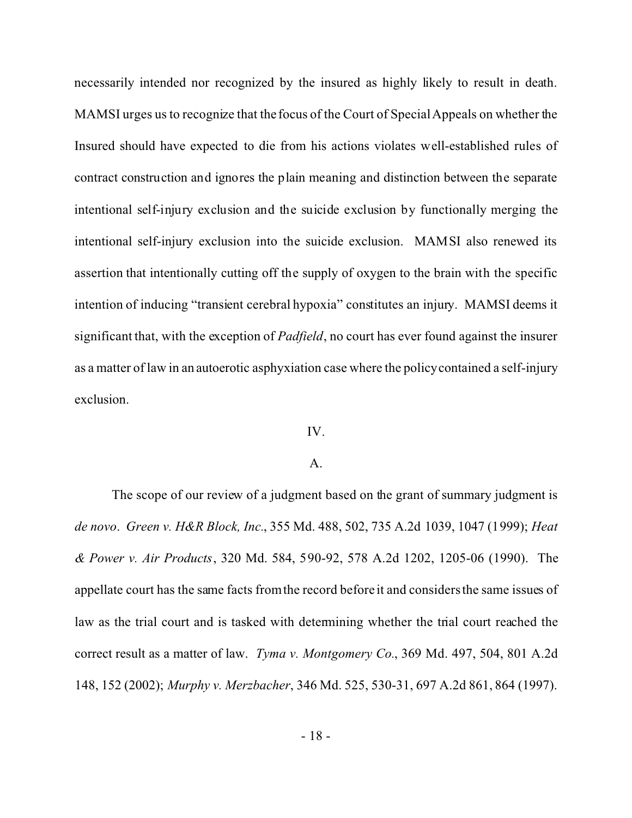necessarily intended nor recognized by the insured as highly likely to result in death. MAMSI urges us to recognize that the focus of the Court of Special Appeals on whether the Insured should have expected to die from his actions violates well-established rules of contract construction and ignores the plain meaning and distinction between the separate intentional self-injury exclusion and the suicide exclusion by functionally merging the intentional self-injury exclusion into the suicide exclusion. MAMSI also renewed its assertion that intentionally cutting off the supply of oxygen to the brain with the specific intention of inducing "transient cerebral hypoxia" constitutes an injury. MAMSI deems it significant that, with the exception of *Padfield*, no court has ever found against the insurer as a matter of law in an autoerotic asphyxiation case where the policy contained a self-injury exclusion.

#### IV.

## A.

The scope of our review of a judgment based on the grant of summary judgment is *de novo*. *Green v. H&R Block, Inc.*, 355 Md. 488, 502, 735 A.2d 1039, 1047 (1999); *Heat & Power v. Air Products*, 320 Md. 584, 590-92, 578 A.2d 1202, 1205-06 (1990). The appellate court has the same facts from the record before it and considers the same issues of law as the trial court and is tasked with determining whether the trial court reached the correct result as a matter of law. *Tyma v. Montgomery Co.*, 369 Md. 497, 504, 801 A.2d 148, 152 (2002); *Murphy v. Merzbacher*, 346 Md. 525, 530-31, 697 A.2d 861, 864 (1997).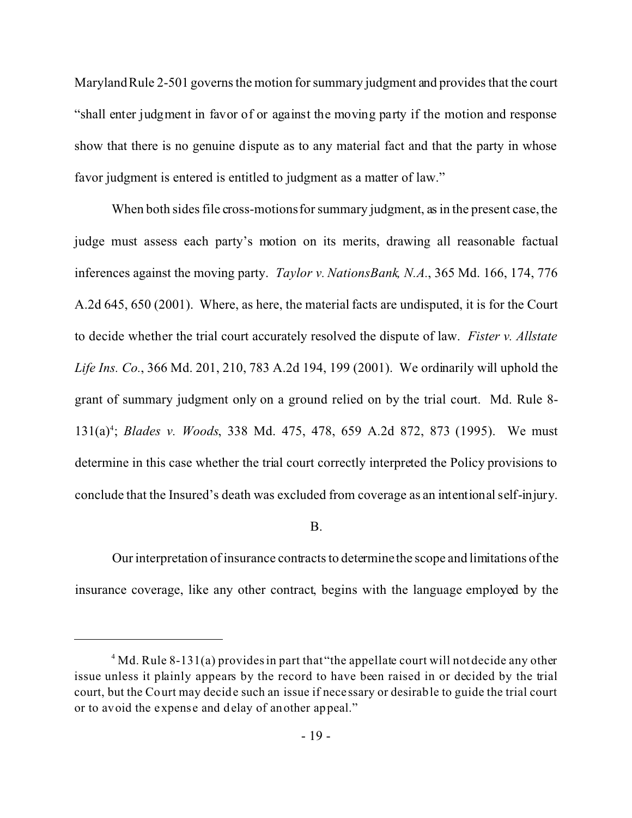Maryland Rule 2-501 governs the motion for summary judgment and provides that the court "shall enter judgment in favor of or against the moving party if the motion and response show that there is no genuine dispute as to any material fact and that the party in whose favor judgment is entered is entitled to judgment as a matter of law."

When both sides file cross-motions for summary judgment, as in the present case, the judge must assess each party's motion on its merits, drawing all reasonable factual inferences against the moving party. *Taylor v. NationsBank, N.A.*, 365 Md. 166, 174, 776 A.2d 645, 650 (2001). Where, as here, the material facts are undisputed, it is for the Court to decide whether the trial court accurately resolved the dispute of law. *Fister v. Allstate Life Ins. Co.*, 366 Md. 201, 210, 783 A.2d 194, 199 (2001). We ordinarily will uphold the grant of summary judgment only on a ground relied on by the trial court. Md. Rule 8- 131(a)<sup>4</sup>; *Blades v. Woods*, 338 Md. 475, 478, 659 A.2d 872, 873 (1995). We must determine in this case whether the trial court correctly interpreted the Policy provisions to conclude that the Insured's death was excluded from coverage as an intentional self-injury.

## B.

Our interpretation of insurance contracts to determine the scope and limitations of the insurance coverage, like any other contract, begins with the language employed by the

 $4$  Md. Rule 8-131(a) provides in part that "the appellate court will not decide any other issue unless it plainly appears by the record to have been raised in or decided by the trial court, but the Court may decide such an issue if nece ssary or desirable to guide the trial court or to avoid the expense and delay of another appeal."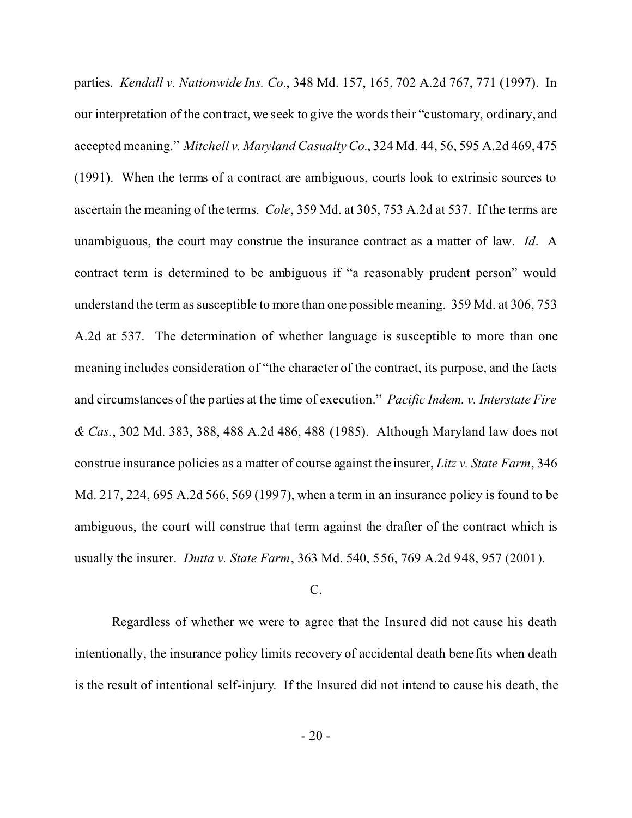parties. *Kendall v. Nationwide Ins. Co.*, 348 Md. 157, 165, 702 A.2d 767, 771 (1997). In our interpretation of the contract, we seek to give the words their "customary, ordinary, and accepted meaning." *Mitchell v. Maryland Casualty Co.*, 324 Md. 44, 56, 595 A.2d 469, 475 (1991). When the terms of a contract are ambiguous, courts look to extrinsic sources to ascertain the meaning of the terms. *Cole*, 359 Md. at 305, 753 A.2d at 537. If the terms are unambiguous, the court may construe the insurance contract as a matter of law. *Id*. A contract term is determined to be ambiguous if "a reasonably prudent person" would understand the term as susceptible to more than one possible meaning. 359 Md. at 306, 753 A.2d at 537. The determination of whether language is susceptible to more than one meaning includes consideration of "the character of the contract, its purpose, and the facts and circumstances of the parties at the time of execution." *Pacific Indem. v. Interstate Fire & Cas.*, 302 Md. 383, 388, 488 A.2d 486, 488 (1985). Although Maryland law does not construe insurance policies as a matter of course against the insurer, *Litz v. State Farm*, 346 Md. 217, 224, 695 A.2d 566, 569 (1997), when a term in an insurance policy is found to be ambiguous, the court will construe that term against the drafter of the contract which is usually the insurer. *Dutta v. State Farm*, 363 Md. 540, 556, 769 A.2d 948, 957 (2001).

## C.

Regardless of whether we were to agree that the Insured did not cause his death intentionally, the insurance policy limits recovery of accidental death benefits when death is the result of intentional self-injury. If the Insured did not intend to cause his death, the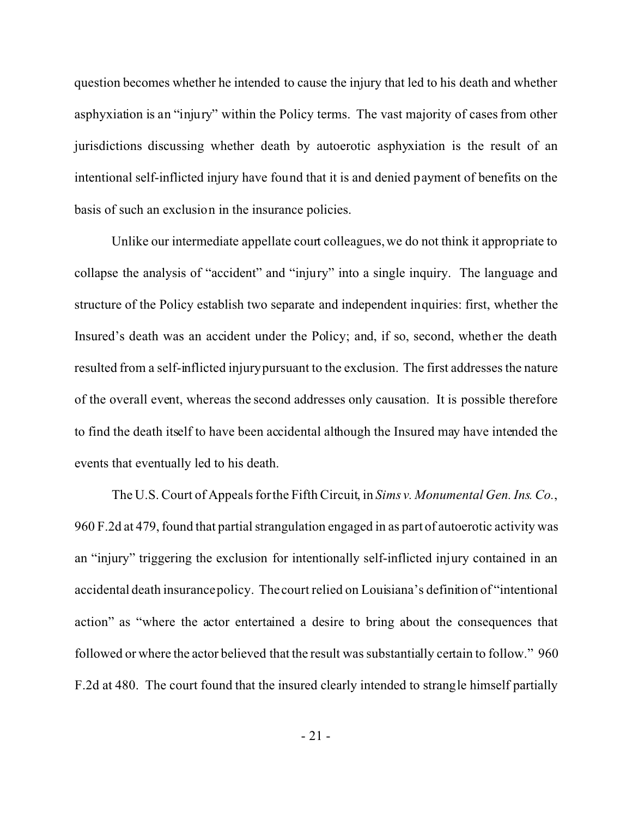question becomes whether he intended to cause the injury that led to his death and whether asphyxiation is an "injury" within the Policy terms. The vast majority of cases from other jurisdictions discussing whether death by autoerotic asphyxiation is the result of an intentional self-inflicted injury have found that it is and denied payment of benefits on the basis of such an exclusion in the insurance policies.

Unlike our intermediate appellate court colleagues, we do not think it appropriate to collapse the analysis of "accident" and "injury" into a single inquiry. The language and structure of the Policy establish two separate and independent inquiries: first, whether the Insured's death was an accident under the Policy; and, if so, second, whether the death resulted from a self-inflicted injury pursuant to the exclusion. The first addresses the nature of the overall event, whereas the second addresses only causation. It is possible therefore to find the death itself to have been accidental although the Insured may have intended the events that eventually led to his death.

The U.S. Court of Appeals for the Fifth Circuit, in *Sims v. Monumental Gen. Ins. Co.*, 960 F.2d at 479, found that partial strangulation engaged in as part of autoerotic activity was an "injury" triggering the exclusion for intentionally self-inflicted injury contained in an accidental death insurance policy. The court relied on Louisiana's definition of "intentional action" as "where the actor entertained a desire to bring about the consequences that followed or where the actor believed that the result was substantially certain to follow." 960 F.2d at 480. The court found that the insured clearly intended to strangle himself partially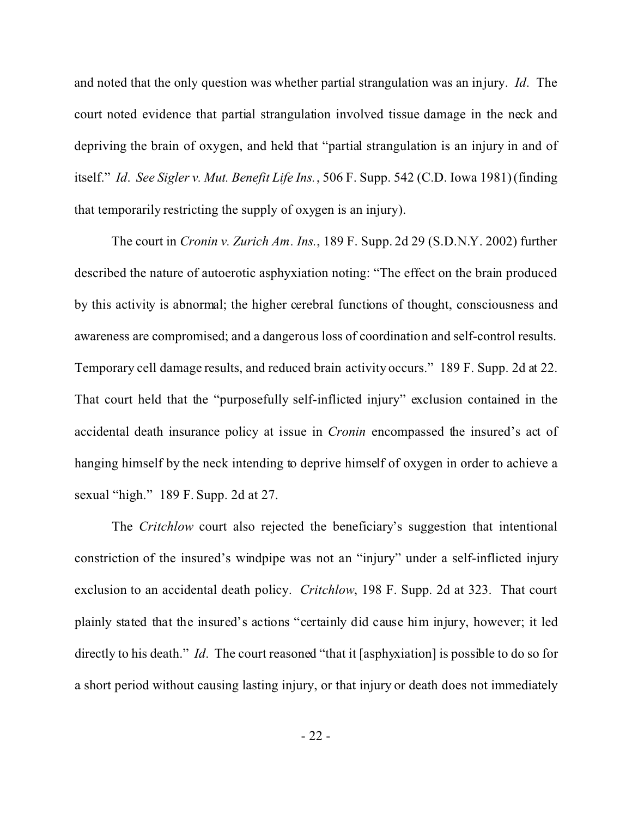and noted that the only question was whether partial strangulation was an injury. *Id*. The court noted evidence that partial strangulation involved tissue damage in the neck and depriving the brain of oxygen, and held that "partial strangulation is an injury in and of itself." *Id*. *See Sigler v. Mut. Benefit Life Ins.*, 506 F. Supp. 542 (C.D. Iowa 1981) (finding that temporarily restricting the supply of oxygen is an injury).

The court in *Cronin v. Zurich Am. Ins.*, 189 F. Supp. 2d 29 (S.D.N.Y. 2002) further described the nature of autoerotic asphyxiation noting: "The effect on the brain produced by this activity is abnormal; the higher cerebral functions of thought, consciousness and awareness are compromised; and a dangerous loss of coordination and self-control results. Temporary cell damage results, and reduced brain activity occurs." 189 F. Supp. 2d at 22. That court held that the "purposefully self-inflicted injury" exclusion contained in the accidental death insurance policy at issue in *Cronin* encompassed the insured's act of hanging himself by the neck intending to deprive himself of oxygen in order to achieve a sexual "high." 189 F. Supp. 2d at 27.

The *Critchlow* court also rejected the beneficiary's suggestion that intentional constriction of the insured's windpipe was not an "injury" under a self-inflicted injury exclusion to an accidental death policy. *Critchlow*, 198 F. Supp. 2d at 323. That court plainly stated that the insured's actions "certainly did cause him injury, however; it led directly to his death." *Id*. The court reasoned "that it [asphyxiation] is possible to do so for a short period without causing lasting injury, or that injury or death does not immediately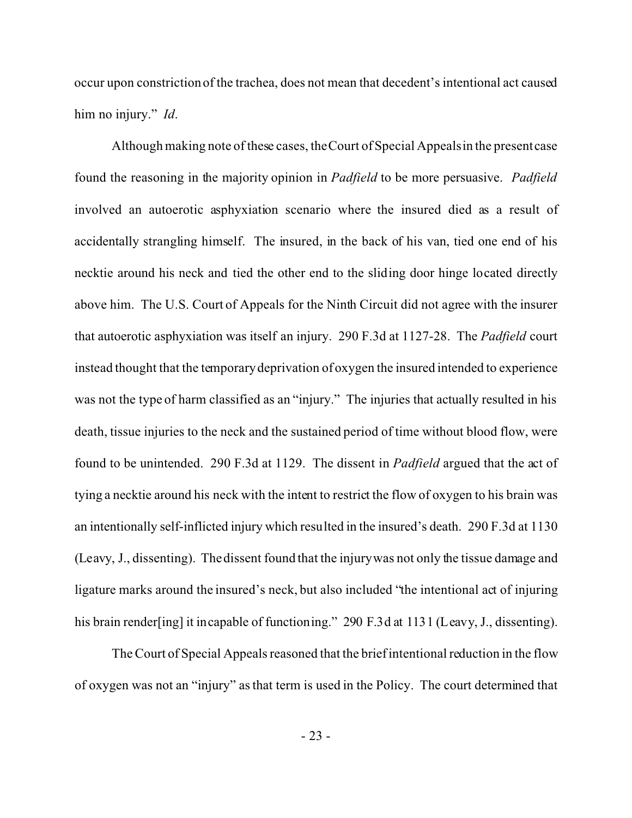occur upon constriction of the trachea, does not mean that decedent's intentional act caused him no injury." *Id*.

Although making note of these cases, the Court of Special Appeals in the present case found the reasoning in the majority opinion in *Padfield* to be more persuasive. *Padfield* involved an autoerotic asphyxiation scenario where the insured died as a result of accidentally strangling himself. The insured, in the back of his van, tied one end of his necktie around his neck and tied the other end to the sliding door hinge located directly above him. The U.S. Court of Appeals for the Ninth Circuit did not agree with the insurer that autoerotic asphyxiation was itself an injury. 290 F.3d at 1127-28. The *Padfield* court instead thought that the temporary deprivation of oxygen the insured intended to experience was not the type of harm classified as an "injury." The injuries that actually resulted in his death, tissue injuries to the neck and the sustained period of time without blood flow, were found to be unintended. 290 F.3d at 1129. The dissent in *Padfield* argued that the act of tying a necktie around his neck with the intent to restrict the flow of oxygen to his brain was an intentionally self-inflicted injury which resulted in the insured's death. 290 F.3d at 1130 (Leavy, J., dissenting). The dissent found that the injury was not only the tissue damage and ligature marks around the insured's neck, but also included "the intentional act of injuring his brain render[ing] it incapable of functioning." 290 F.3d at 1131 (Leavy, J., dissenting).

The Court of Special Appeals reasoned that the brief intentional reduction in the flow of oxygen was not an "injury" as that term is used in the Policy. The court determined that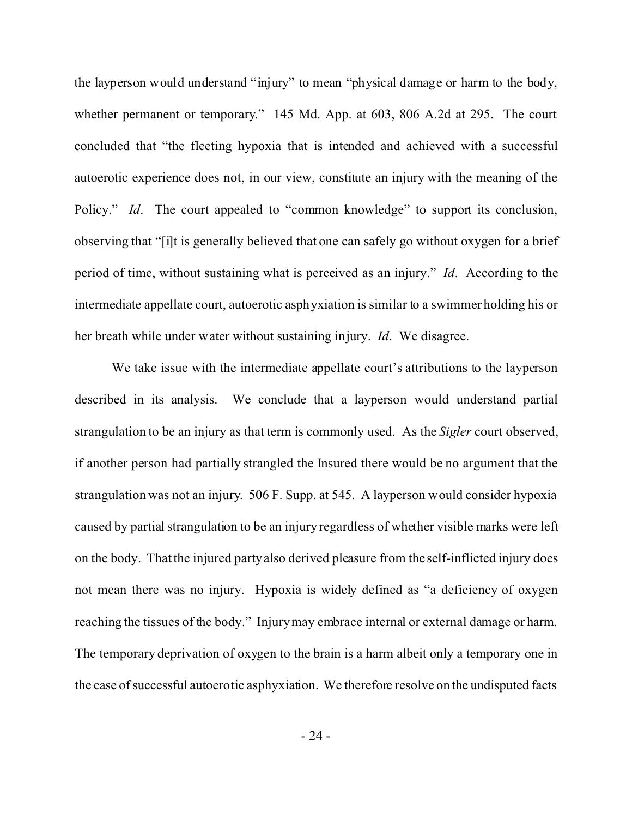the layperson would understand "injury" to mean "physical damage or harm to the body, whether permanent or temporary." 145 Md. App. at 603, 806 A.2d at 295. The court concluded that "the fleeting hypoxia that is intended and achieved with a successful autoerotic experience does not, in our view, constitute an injury with the meaning of the Policy." *Id.* The court appealed to "common knowledge" to support its conclusion, observing that "[i]t is generally believed that one can safely go without oxygen for a brief period of time, without sustaining what is perceived as an injury." *Id*. According to the intermediate appellate court, autoerotic asphyxiation is similar to a swimmer holding his or her breath while under water without sustaining injury. *Id*. We disagree.

We take issue with the intermediate appellate court's attributions to the layperson described in its analysis. We conclude that a layperson would understand partial strangulation to be an injury as that term is commonly used. As the *Sigler* court observed, if another person had partially strangled the Insured there would be no argument that the strangulation was not an injury. 506 F. Supp. at 545. A layperson would consider hypoxia caused by partial strangulation to be an injury regardless of whether visible marks were left on the body. That the injured party also derived pleasure from the self-inflicted injury does not mean there was no injury. Hypoxia is widely defined as "a deficiency of oxygen reaching the tissues of the body." Injury may embrace internal or external damage or harm. The temporary deprivation of oxygen to the brain is a harm albeit only a temporary one in the case of successful autoerotic asphyxiation. We therefore resolve on the undisputed facts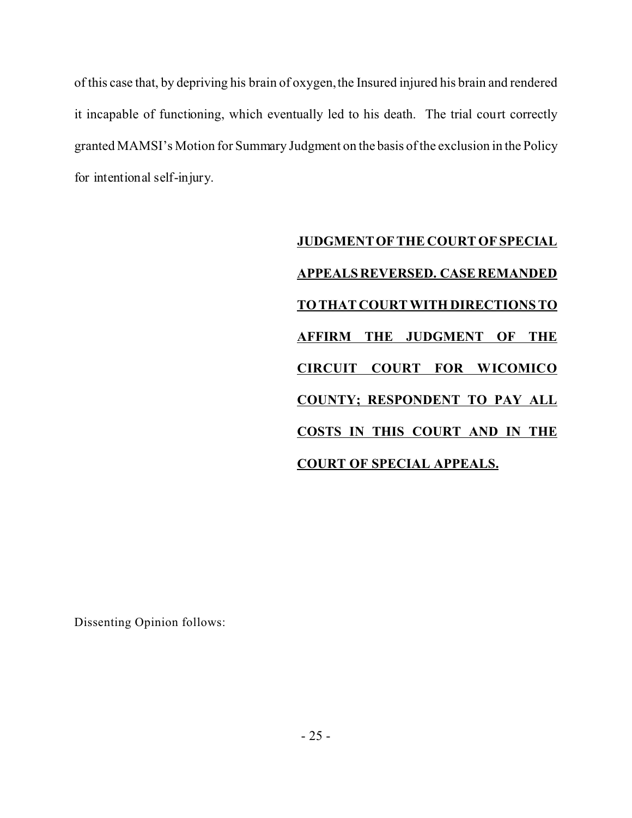of this case that, by depriving his brain of oxygen, the Insured injured his brain and rendered it incapable of functioning, which eventually led to his death. The trial court correctly granted MAMSI's Motion for Summary Judgment on the basis of the exclusion in the Policy for intentional self-injury.

> **JUDGMENTOF THE COURT OF SPECIAL APPEALS REVERSED. CASE REMANDED TO THAT COURT WITH DIRECTIONS TO AFFIRM THE JUDGMENT OF THE CIRCUIT COURT FOR WICOMICO COUNTY; RESPONDENT TO PAY ALL COSTS IN THIS COURT AND IN THE COURT OF SPECIAL APPEALS.**

Dissenting Opinion follows: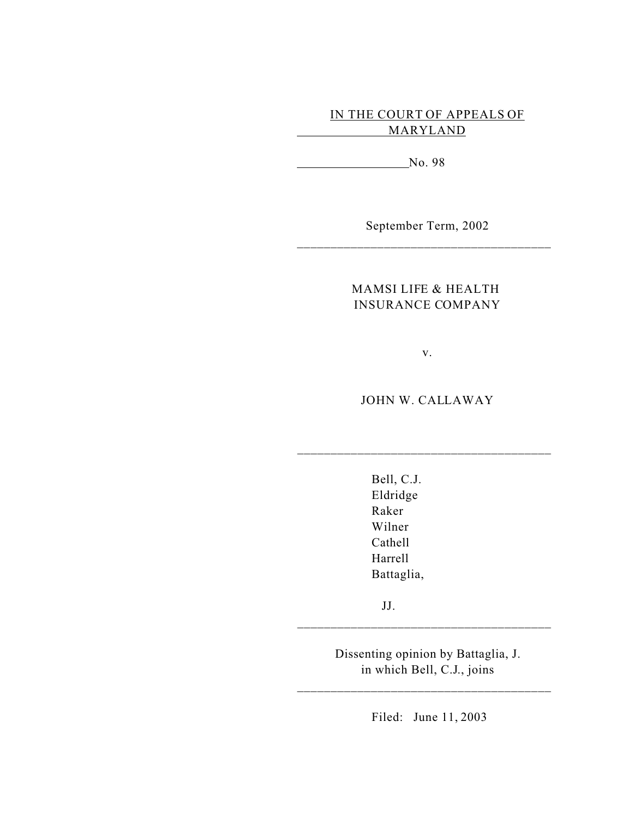# IN THE COURT OF APPEALS OF MARYLAND

No. 98

September Term, 2002 \_\_\_\_\_\_\_\_\_\_\_\_\_\_\_\_\_\_\_\_\_\_\_\_\_\_\_\_\_\_\_\_\_\_\_\_\_\_

# MAMSI LIFE & HEALTH INSURANCE COMPANY

v.

JOHN W. CALLAWAY

\_\_\_\_\_\_\_\_\_\_\_\_\_\_\_\_\_\_\_\_\_\_\_\_\_\_\_\_\_\_\_\_\_\_\_\_\_\_

Bell, C.J. Eldridge Raker Wilner Cathell Harrell Battaglia,

JJ.

Dissenting opinion by Battaglia, J. in which Bell, C.J., joins

\_\_\_\_\_\_\_\_\_\_\_\_\_\_\_\_\_\_\_\_\_\_\_\_\_\_\_\_\_\_\_\_\_\_\_\_\_\_

\_\_\_\_\_\_\_\_\_\_\_\_\_\_\_\_\_\_\_\_\_\_\_\_\_\_\_\_\_\_\_\_\_\_\_\_\_\_

Filed: June 11, 2003